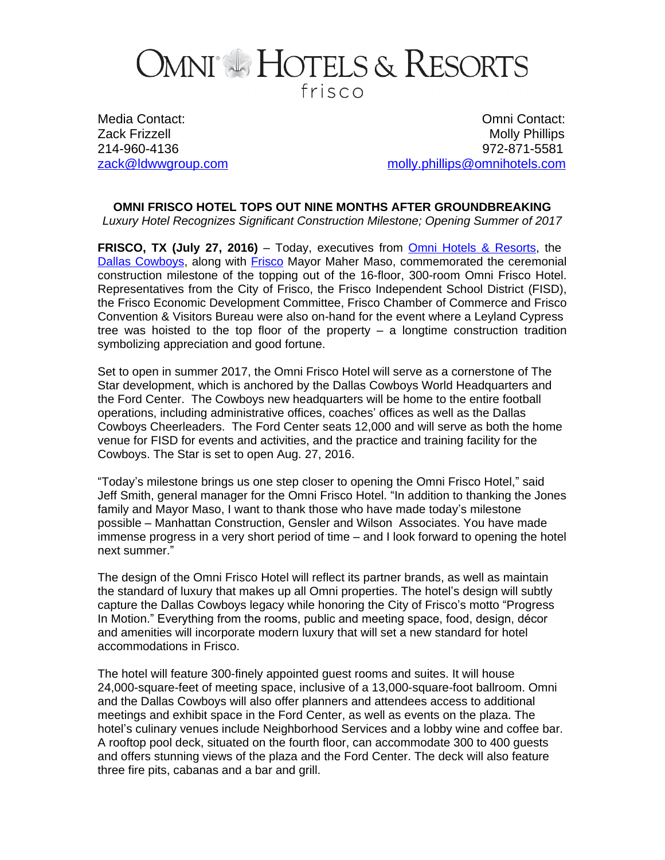## OMNI<sup>®</sup> HOTELS & RESORTS frisco

Media Contact: Omni Contact: Zack Frizzell Molly Phillips 214-960-4136 972-871-5581 [zack@ldwwgroup.com](file:///C:\\Users\\atramer\\AppData\\AppData\\Local\\Microsoft\\Windows\\Temporary%20Internet%20Files\\Content.Outlook\\AppData\\AppData\\Zack\\AppData\\Local\\Microsoft\\Windows\\Temporary%20Internet%20Files\\Content.Outlook\\V510A7IN\\zack@ldwwgroup.com) example and [molly.phillips@omnihotels.com](mailto:molly.phillips@omnihotels.com)

**OMNI FRISCO HOTEL TOPS OUT NINE MONTHS AFTER GROUNDBREAKING**

*Luxury Hotel Recognizes Significant Construction Milestone; Opening Summer of 2017*

**FRISCO, TX (July 27, 2016)** – Today, executives from [Omni Hotels & Resorts,](http://www.omnihotels.com/) the [Dallas Cowboys,](http://www.dallascowboys.com/) along with **[Frisco](http://www.ci.frisco.tx.us/newsite/Pages/default.aspx)** Mayor Maher Maso, commemorated the ceremonial construction milestone of the topping out of the 16-floor, 300-room Omni Frisco Hotel. Representatives from the City of Frisco, the Frisco Independent School District (FISD), the Frisco Economic Development Committee, Frisco Chamber of Commerce and Frisco Convention & Visitors Bureau were also on-hand for the event where a Leyland Cypress tree was hoisted to the top floor of the property – a longtime construction tradition symbolizing appreciation and good fortune.

Set to open in summer 2017, the Omni Frisco Hotel will serve as a cornerstone of The Star development, which is anchored by the Dallas Cowboys World Headquarters and the Ford Center. The Cowboys new headquarters will be home to the entire football operations, including administrative offices, coaches' offices as well as the Dallas Cowboys Cheerleaders. The Ford Center seats 12,000 and will serve as both the home venue for FISD for events and activities, and the practice and training facility for the Cowboys. The Star is set to open Aug. 27, 2016.

"Today's milestone brings us one step closer to opening the Omni Frisco Hotel," said Jeff Smith, general manager for the Omni Frisco Hotel. "In addition to thanking the Jones family and Mayor Maso, I want to thank those who have made today's milestone possible – Manhattan Construction, Gensler and Wilson Associates. You have made immense progress in a very short period of time – and I look forward to opening the hotel next summer."

The design of the Omni Frisco Hotel will reflect its partner brands, as well as maintain the standard of luxury that makes up all Omni properties. The hotel's design will subtly capture the Dallas Cowboys legacy while honoring the City of Frisco's motto "Progress In Motion." Everything from the rooms, public and meeting space, food, design, décor and amenities will incorporate modern luxury that will set a new standard for hotel accommodations in Frisco.

The hotel will feature 300-finely appointed guest rooms and suites. It will house 24,000-square-feet of meeting space, inclusive of a 13,000-square-foot ballroom. Omni and the Dallas Cowboys will also offer planners and attendees access to additional meetings and exhibit space in the Ford Center, as well as events on the plaza. The hotel's culinary venues include Neighborhood Services and a lobby wine and coffee bar. A rooftop pool deck, situated on the fourth floor, can accommodate 300 to 400 guests and offers stunning views of the plaza and the Ford Center. The deck will also feature three fire pits, cabanas and a bar and grill.